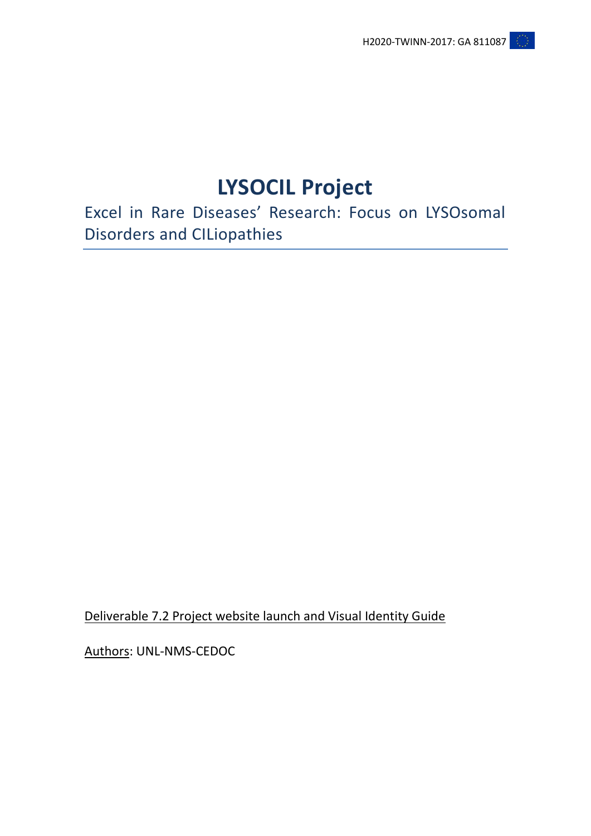# **LYSOCIL Project**

Excel in Rare Diseases' Research: Focus on LYSOsomal Disorders and CILiopathies

Deliverable 7.2 Project website launch and Visual Identity Guide

Authors: UNL-NMS-CEDOC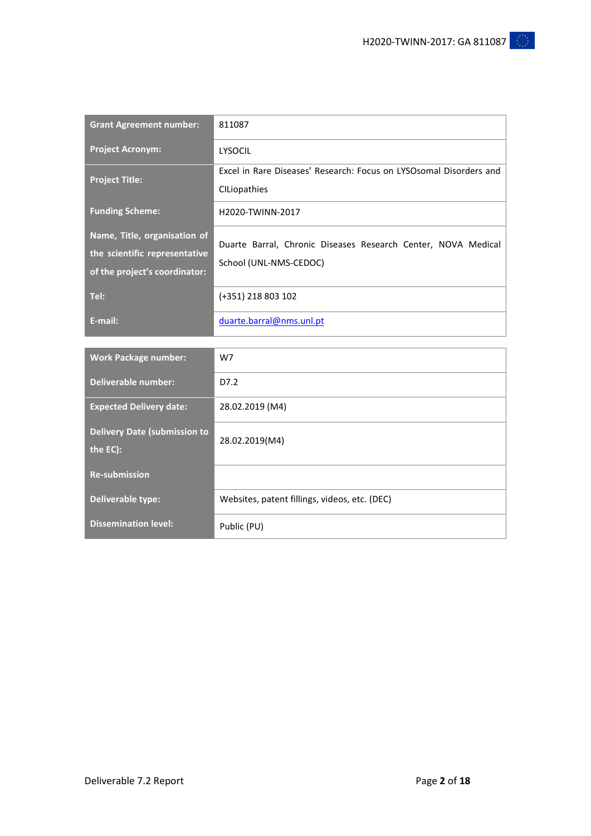| <b>Grant Agreement number:</b>                                                                 | 811087                                                                                  |
|------------------------------------------------------------------------------------------------|-----------------------------------------------------------------------------------------|
| <b>Project Acronym:</b>                                                                        | LYSOCIL                                                                                 |
| <b>Project Title:</b>                                                                          | Excel in Rare Diseases' Research: Focus on LYSOsomal Disorders and<br>CILiopathies      |
| <b>Funding Scheme:</b>                                                                         | H2020-TWINN-2017                                                                        |
| Name, Title, organisation of<br>the scientific representative<br>of the project's coordinator: | Duarte Barral, Chronic Diseases Research Center, NOVA Medical<br>School (UNL-NMS-CEDOC) |
| Tel:                                                                                           | (+351) 218 803 102                                                                      |
| E-mail:                                                                                        | duarte.barral@nms.unl.pt                                                                |

| <b>Work Package number:</b>                     | W7                                            |
|-------------------------------------------------|-----------------------------------------------|
| Deliverable number:                             | D7.2                                          |
| <b>Expected Delivery date:</b>                  | 28.02.2019 (M4)                               |
| <b>Delivery Date (submission to</b><br>the EC): | 28.02.2019(M4)                                |
| <b>Re-submission</b>                            |                                               |
| Deliverable type:                               | Websites, patent fillings, videos, etc. (DEC) |
| <b>Dissemination level:</b>                     | Public (PU)                                   |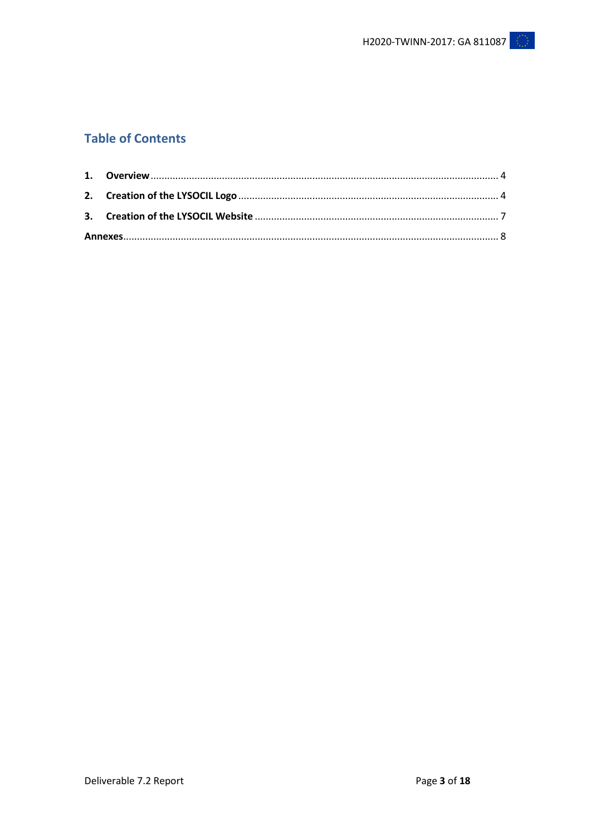# **Table of Contents**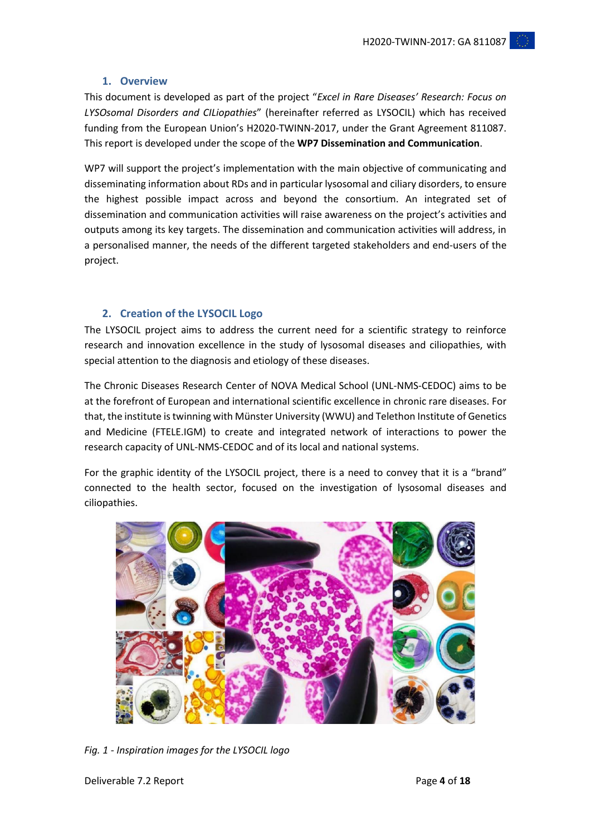# **1. Overview**

<span id="page-3-0"></span>This document is developed as part of the project "*Excel in Rare Diseases' Research: Focus on LYSOsomal Disorders and CILiopathies*" (hereinafter referred as LYSOCIL) which has received funding from the European Union's H2020-TWINN-2017, under the Grant Agreement 811087. This report is developed under the scope of the **WP7 Dissemination and Communication**.

WP7 will support the project's implementation with the main objective of communicating and disseminating information about RDs and in particular lysosomal and ciliary disorders, to ensure the highest possible impact across and beyond the consortium. An integrated set of dissemination and communication activities will raise awareness on the project's activities and outputs among its key targets. The dissemination and communication activities will address, in a personalised manner, the needs of the different targeted stakeholders and end-users of the project.

# <span id="page-3-1"></span>**2. Creation of the LYSOCIL Logo**

The LYSOCIL project aims to address the current need for a scientific strategy to reinforce research and innovation excellence in the study of lysosomal diseases and ciliopathies, with special attention to the diagnosis and etiology of these diseases.

The Chronic Diseases Research Center of NOVA Medical School (UNL-NMS-CEDOC) aims to be at the forefront of European and international scientific excellence in chronic rare diseases. For that, the institute is twinning with Münster University (WWU) and Telethon Institute of Genetics and Medicine (FTELE.IGM) to create and integrated network of interactions to power the research capacity of UNL-NMS-CEDOC and of its local and national systems.

For the graphic identity of the LYSOCIL project, there is a need to convey that it is a "brand" connected to the health sector, focused on the investigation of lysosomal diseases and ciliopathies.



*Fig. 1 - Inspiration images for the LYSOCIL logo*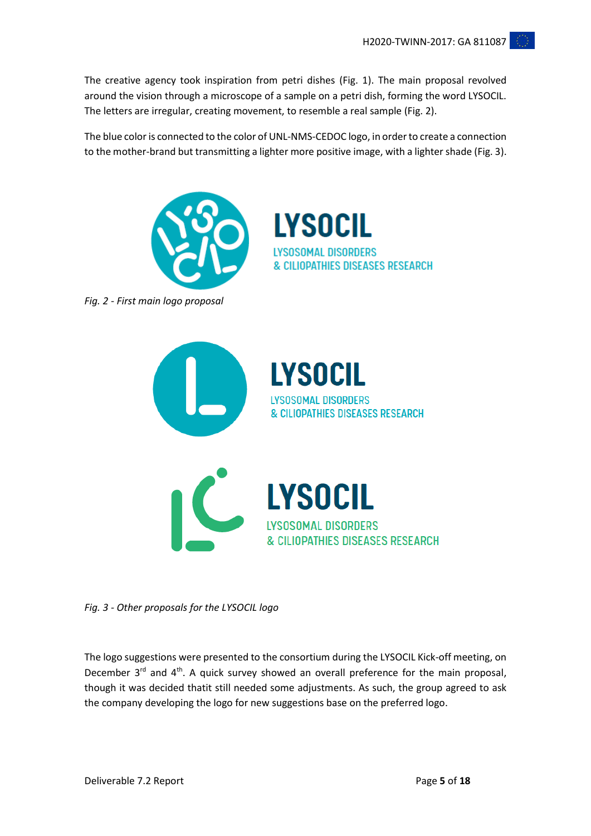The creative agency took inspiration from petri dishes (Fig. 1). The main proposal revolved around the vision through a microscope of a sample on a petri dish, forming the word LYSOCIL. The letters are irregular, creating movement, to resemble a real sample (Fig. 2).

The blue color is connected to the color of UNL-NMS-CEDOC logo, in order to create a connection to the mother-brand but transmitting a lighter more positive image, with a lighter shade (Fig. 3).



**LYSOCIL LYSOSOMAL DISORDERS** & CILIOPATHIES DISEASES RESEARCH

*Fig. 2 - First main logo proposal*



*Fig. 3 - Other proposals for the LYSOCIL logo*

The logo suggestions were presented to the consortium during the LYSOCIL Kick-off meeting, on December 3<sup>rd</sup> and 4<sup>th</sup>. A quick survey showed an overall preference for the main proposal, though it was decided thatit still needed some adjustments. As such, the group agreed to ask the company developing the logo for new suggestions base on the preferred logo.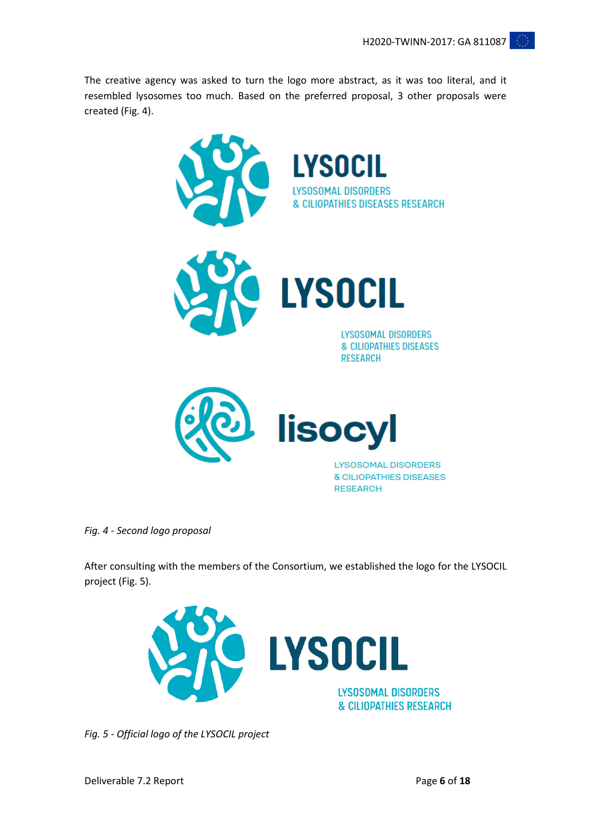The creative agency was asked to turn the logo more abstract, as it was too literal, and it resembled lysosomes too much. Based on the preferred proposal, 3 other proposals were created (Fig. 4).



*Fig. 4 - Second logo proposal*

After consulting with the members of the Consortium, we established the logo for the LYSOCIL project (Fig. 5).



*Fig. 5 - Official logo of the LYSOCIL project*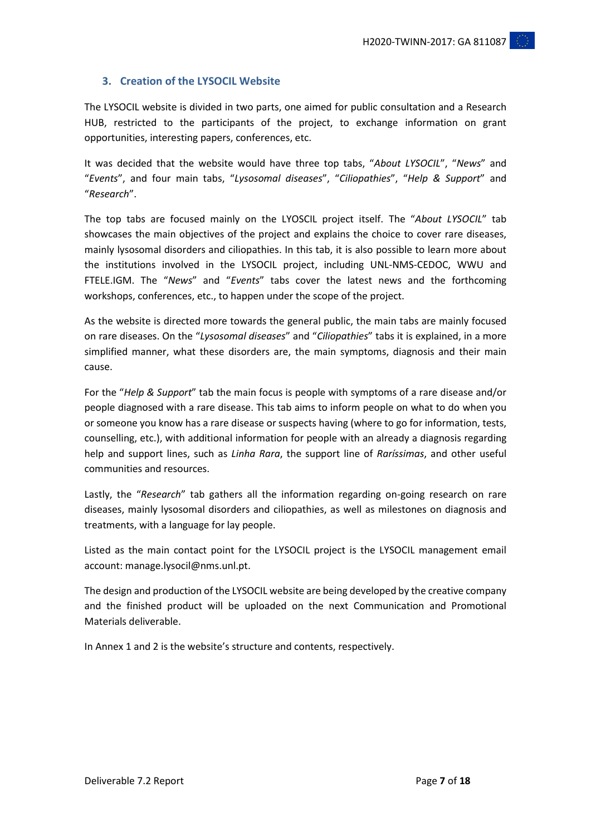# <span id="page-6-0"></span>**3. Creation of the LYSOCIL Website**

The LYSOCIL website is divided in two parts, one aimed for public consultation and a Research HUB, restricted to the participants of the project, to exchange information on grant opportunities, interesting papers, conferences, etc.

It was decided that the website would have three top tabs, "*About LYSOCIL*", "*News*" and "*Events*", and four main tabs, "*Lysosomal diseases*", "*Ciliopathies*", "*Help & Support*" and "*Research*".

The top tabs are focused mainly on the LYOSCIL project itself. The "*About LYSOCIL*" tab showcases the main objectives of the project and explains the choice to cover rare diseases, mainly lysosomal disorders and ciliopathies. In this tab, it is also possible to learn more about the institutions involved in the LYSOCIL project, including UNL-NMS-CEDOC, WWU and FTELE.IGM. The "*News*" and "*Events*" tabs cover the latest news and the forthcoming workshops, conferences, etc., to happen under the scope of the project.

As the website is directed more towards the general public, the main tabs are mainly focused on rare diseases. On the "*Lysosomal diseases*" and "*Ciliopathies*" tabs it is explained, in a more simplified manner, what these disorders are, the main symptoms, diagnosis and their main cause.

For the "*Help & Support*" tab the main focus is people with symptoms of a rare disease and/or people diagnosed with a rare disease. This tab aims to inform people on what to do when you or someone you know has a rare disease or suspects having (where to go for information, tests, counselling, etc.), with additional information for people with an already a diagnosis regarding help and support lines, such as *Linha Rara*, the support line of *Raríssimas*, and other useful communities and resources.

Lastly, the "*Research*" tab gathers all the information regarding on-going research on rare diseases, mainly lysosomal disorders and ciliopathies, as well as milestones on diagnosis and treatments, with a language for lay people.

Listed as the main contact point for the LYSOCIL project is the LYSOCIL management email account: manage.lysocil@nms.unl.pt.

The design and production of the LYSOCIL website are being developed by the creative company and the finished product will be uploaded on the next Communication and Promotional Materials deliverable.

In Annex 1 and 2 is the website's structure and contents, respectively.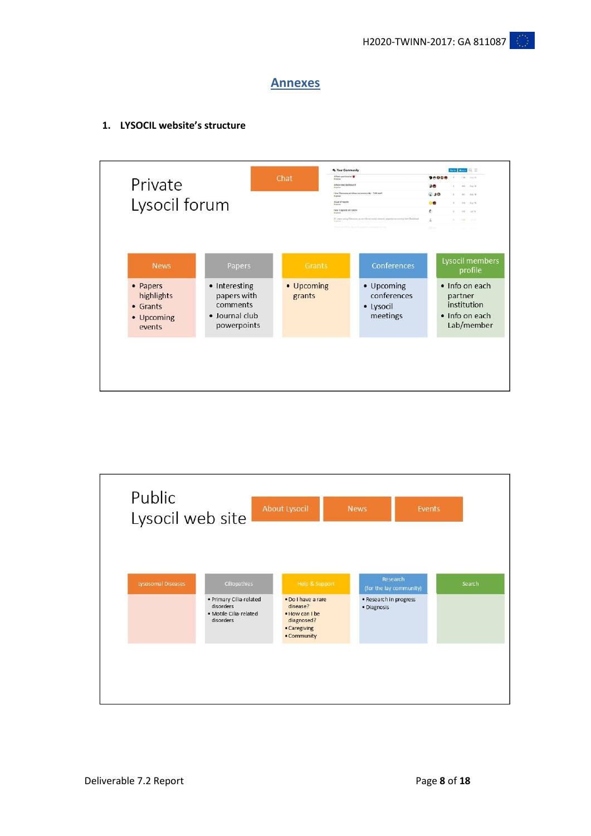# **Annexes**

<span id="page-7-0"></span>**1. LYSOCIL website's structure**



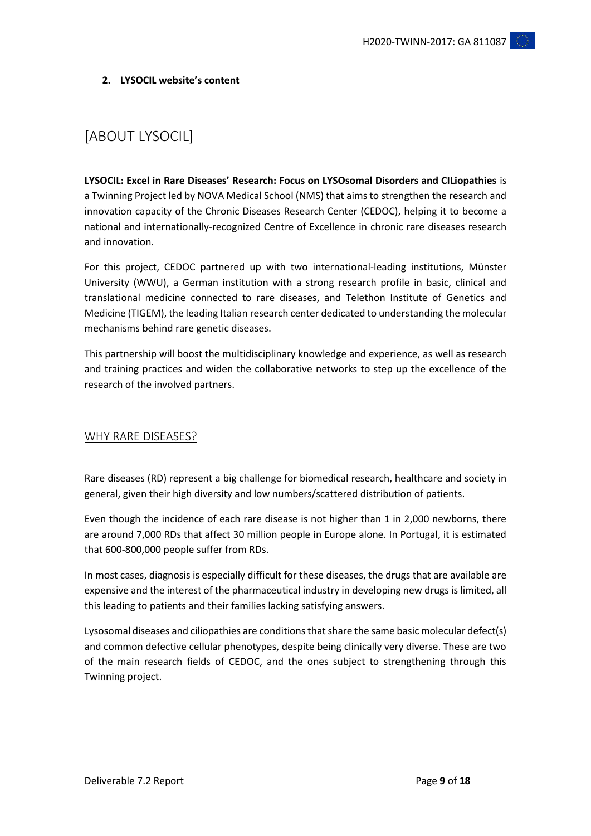# **2. LYSOCIL website's content**

# [ABOUT LYSOCIL]

**LYSOCIL: Excel in Rare Diseases' Research: Focus on LYSOsomal Disorders and CILiopathies** is a Twinning Project led by NOVA Medical School (NMS) that aims to strengthen the research and innovation capacity of the Chronic Diseases Research Center (CEDOC), helping it to become a national and internationally-recognized Centre of Excellence in chronic rare diseases research and innovation.

For this project, CEDOC partnered up with two international-leading institutions, Münster University (WWU), a German institution with a strong research profile in basic, clinical and translational medicine connected to rare diseases, and Telethon Institute of Genetics and Medicine (TIGEM), the leading Italian research center dedicated to understanding the molecular mechanisms behind rare genetic diseases.

This partnership will boost the multidisciplinary knowledge and experience, as well as research and training practices and widen the collaborative networks to step up the excellence of the research of the involved partners.

# WHY RARE DISEASES?

Rare diseases (RD) represent a big challenge for biomedical research, healthcare and society in general, given their high diversity and low numbers/scattered distribution of patients.

Even though the incidence of each rare disease is not higher than 1 in 2,000 newborns, there are around 7,000 RDs that affect 30 million people in Europe alone. In Portugal, it is estimated that 600-800,000 people suffer from RDs.

In most cases, diagnosis is especially difficult for these diseases, the drugs that are available are expensive and the interest of the pharmaceutical industry in developing new drugs is limited, all this leading to patients and their families lacking satisfying answers.

Lysosomal diseases and ciliopathies are conditions that share the same basic molecular defect(s) and common defective cellular phenotypes, despite being clinically very diverse. These are two of the main research fields of CEDOC, and the ones subject to strengthening through this Twinning project.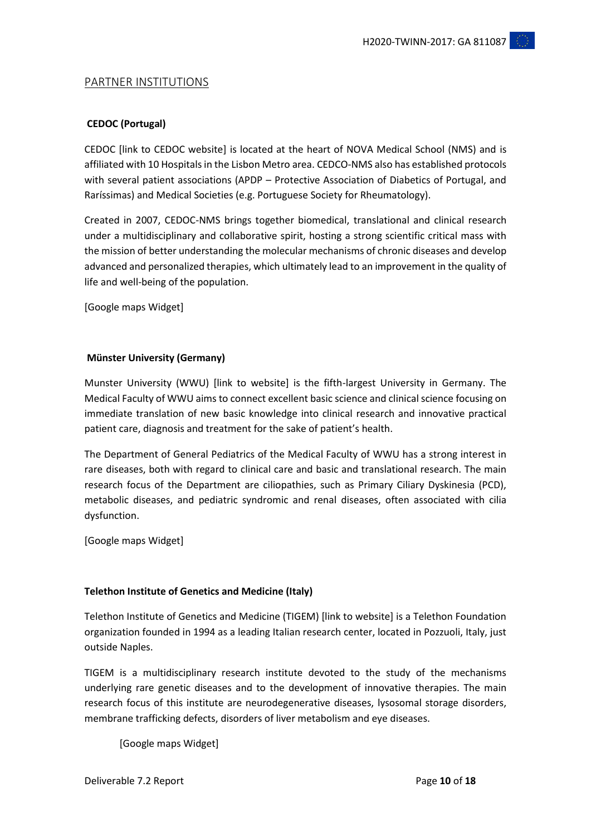# PARTNER INSTITUTIONS

# **CEDOC (Portugal)**

CEDOC [link to CEDOC website] is located at the heart of NOVA Medical School (NMS) and is affiliated with 10 Hospitals in the Lisbon Metro area. CEDCO-NMS also has established protocols with several patient associations (APDP – Protective Association of Diabetics of Portugal, and Raríssimas) and Medical Societies (e.g. Portuguese Society for Rheumatology).

Created in 2007, CEDOC-NMS brings together biomedical, translational and clinical research under a multidisciplinary and collaborative spirit, hosting a strong scientific critical mass with the mission of better understanding the molecular mechanisms of chronic diseases and develop advanced and personalized therapies, which ultimately lead to an improvement in the quality of life and well-being of the population.

[Google maps Widget]

## **Münster University (Germany)**

Munster University (WWU) [link to website] is the fifth-largest University in Germany. The Medical Faculty of WWU aims to connect excellent basic science and clinical science focusing on immediate translation of new basic knowledge into clinical research and innovative practical patient care, diagnosis and treatment for the sake of patient's health.

The Department of General Pediatrics of the Medical Faculty of WWU has a strong interest in rare diseases, both with regard to clinical care and basic and translational research. The main research focus of the Department are ciliopathies, such as Primary Ciliary Dyskinesia (PCD), metabolic diseases, and pediatric syndromic and renal diseases, often associated with cilia dysfunction.

[Google maps Widget]

# **Telethon Institute of Genetics and Medicine (Italy)**

Telethon Institute of Genetics and Medicine (TIGEM) [link to website] is a Telethon Foundation organization founded in 1994 as a leading Italian research center, located in Pozzuoli, Italy, just outside Naples.

TIGEM is a multidisciplinary research institute devoted to the study of the mechanisms underlying rare genetic diseases and to the development of innovative therapies. The main research focus of this institute are neurodegenerative diseases, lysosomal storage disorders, membrane trafficking defects, disorders of liver metabolism and eye diseases.

[Google maps Widget]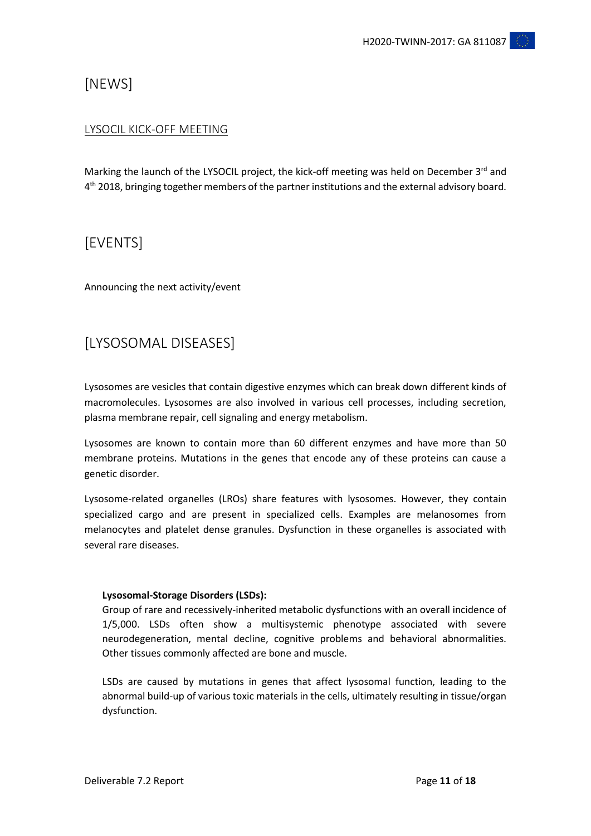# [NEWS]

# LYSOCIL KICK-OFF MEETING

Marking the launch of the LYSOCIL project, the kick-off meeting was held on December 3rd and 4<sup>th</sup> 2018, bringing together members of the partner institutions and the external advisory board.

# [EVENTS]

Announcing the next activity/event

# [LYSOSOMAL DISEASES]

Lysosomes are vesicles that contain digestive enzymes which can break down different kinds of macromolecules. Lysosomes are also involved in various cell processes, including secretion, plasma membrane repair, cell signaling and energy metabolism.

Lysosomes are known to contain more than 60 different enzymes and have more than 50 membrane proteins. Mutations in the genes that encode any of these proteins can cause a genetic disorder.

Lysosome-related organelles (LROs) share features with lysosomes. However, they contain specialized cargo and are present in specialized cells. Examples are melanosomes from melanocytes and platelet dense granules. Dysfunction in these organelles is associated with several rare diseases.

# **Lysosomal-Storage Disorders (LSDs):**

Group of rare and recessively-inherited metabolic dysfunctions with an overall incidence of 1/5,000. LSDs often show a multisystemic phenotype associated with severe neurodegeneration, mental decline, cognitive problems and behavioral abnormalities. Other tissues commonly affected are bone and muscle.

LSDs are caused by mutations in genes that affect lysosomal function, leading to the abnormal build-up of various toxic materials in the cells, ultimately resulting in tissue/organ dysfunction.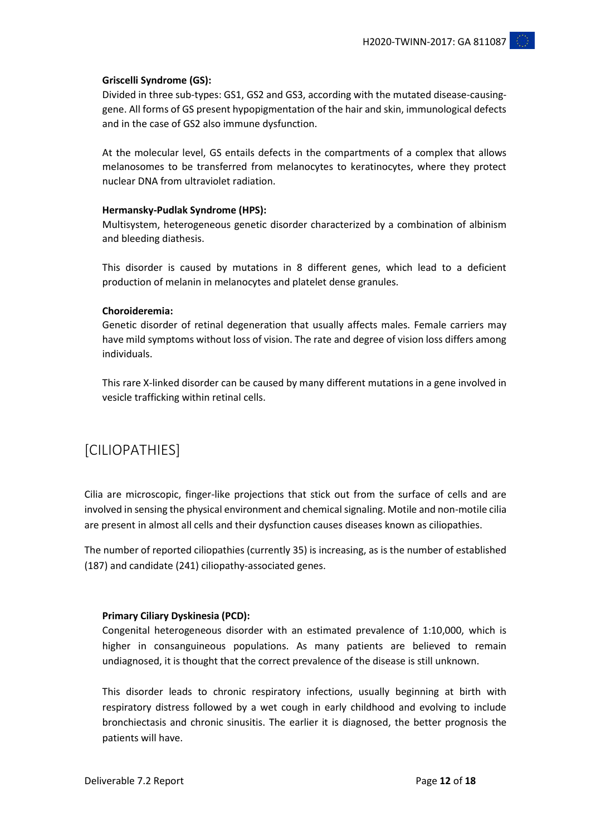## **Griscelli Syndrome (GS):**

Divided in three sub-types: GS1, GS2 and GS3, according with the mutated disease-causinggene. All forms of GS present hypopigmentation of the hair and skin, immunological defects and in the case of GS2 also immune dysfunction.

At the molecular level, GS entails defects in the compartments of a complex that allows melanosomes to be transferred from melanocytes to keratinocytes, where they protect nuclear DNA from ultraviolet radiation.

#### **Hermansky-Pudlak Syndrome (HPS):**

Multisystem, heterogeneous genetic disorder characterized by a combination of albinism and bleeding diathesis.

This disorder is caused by mutations in 8 different genes, which lead to a deficient production of melanin in melanocytes and platelet dense granules.

#### **Choroideremia:**

Genetic disorder of retinal degeneration that usually affects males. Female carriers may have mild symptoms without loss of vision. The rate and degree of vision loss differs among individuals.

This rare X-linked disorder can be caused by many different mutations in a gene involved in vesicle trafficking within retinal cells.

# [CILIOPATHIES]

Cilia are microscopic, finger-like projections that stick out from the surface of cells and are involved in sensing the physical environment and chemical signaling. Motile and non-motile cilia are present in almost all cells and their dysfunction causes diseases known as ciliopathies.

The number of reported ciliopathies (currently 35) is increasing, as is the number of established (187) and candidate (241) ciliopathy-associated genes.

#### **Primary Ciliary Dyskinesia (PCD):**

Congenital heterogeneous disorder with an estimated prevalence of 1:10,000, which is higher in consanguineous populations. As many patients are believed to remain undiagnosed, it is thought that the correct prevalence of the disease is still unknown.

This disorder leads to chronic respiratory infections, usually beginning at birth with respiratory distress followed by a wet cough in early childhood and evolving to include bronchiectasis and chronic sinusitis. The earlier it is diagnosed, the better prognosis the patients will have.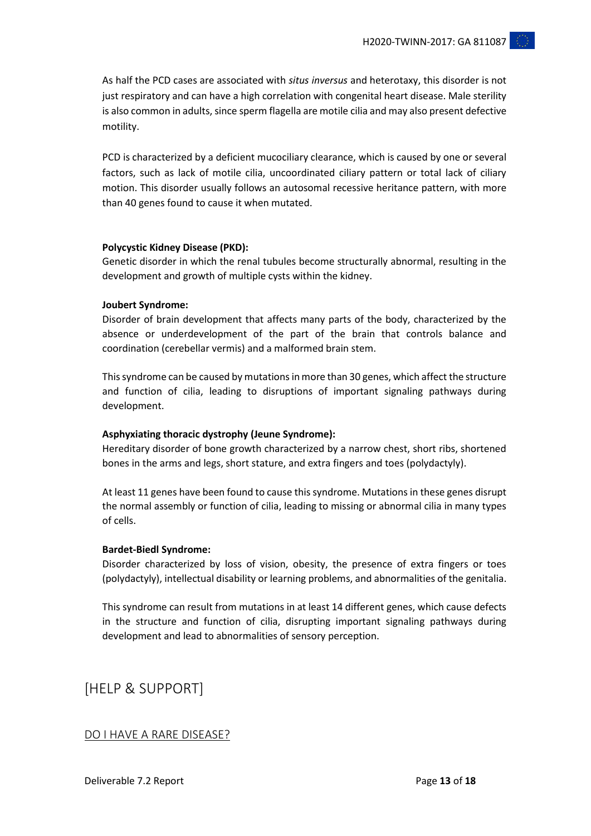As half the PCD cases are associated with *situs inversus* and heterotaxy, this disorder is not just respiratory and can have a high correlation with congenital heart disease. Male sterility is also common in adults, since sperm flagella are motile cilia and may also present defective motility.

PCD is characterized by a deficient mucociliary clearance, which is caused by one or several factors, such as lack of motile cilia, uncoordinated ciliary pattern or total lack of ciliary motion. This disorder usually follows an autosomal recessive heritance pattern, with more than 40 genes found to cause it when mutated.

## **Polycystic Kidney Disease (PKD):**

Genetic disorder in which the renal tubules become structurally abnormal, resulting in the development and growth of multiple cysts within the kidney.

#### **Joubert Syndrome:**

Disorder of brain development that affects many parts of the body, characterized by the absence or underdevelopment of the part of the brain that controls balance and coordination (cerebellar vermis) and a malformed brain stem.

This syndrome can be caused by mutations in more than 30 genes, which affect the structure and function of cilia, leading to disruptions of important signaling pathways during development.

# **Asphyxiating thoracic dystrophy (Jeune Syndrome):**

Hereditary disorder of bone growth characterized by a narrow chest, short ribs, shortened bones in the arms and legs, short stature, and extra fingers and toes (polydactyly).

At least 11 genes have been found to cause this syndrome. Mutations in these genes disrupt the normal assembly or function of cilia, leading to missing or abnormal cilia in many types of cells.

#### **Bardet-Biedl Syndrome:**

Disorder characterized by loss of vision, obesity, the presence of extra fingers or toes (polydactyly), intellectual disability or learning problems, and abnormalities of the genitalia.

This syndrome can result from mutations in at least 14 different genes, which cause defects in the structure and function of cilia, disrupting important signaling pathways during development and lead to abnormalities of sensory perception.

[HELP & SUPPORT]

# DO I HAVE A RARE DISEASE?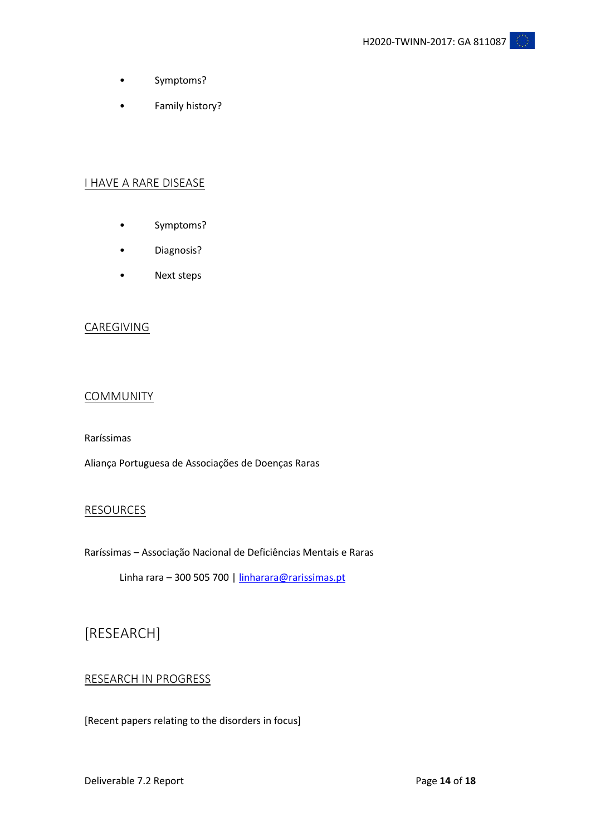- Symptoms?
- Family history?

# I HAVE A RARE DISEASE

- Symptoms?
- Diagnosis?
- Next steps

## CAREGIVING

# COMMUNITY

Raríssimas

Aliança Portuguesa de Associações de Doenças Raras

# **RESOURCES**

Raríssimas – Associação Nacional de Deficiências Mentais e Raras

Linha rara – 300 505 700 | [linharara@rarissimas.pt](mailto:linharara@rarissimas.pt)

# [RESEARCH]

# RESEARCH IN PROGRESS

[Recent papers relating to the disorders in focus]

Deliverable 7.2 Report **18** Page 14 of 18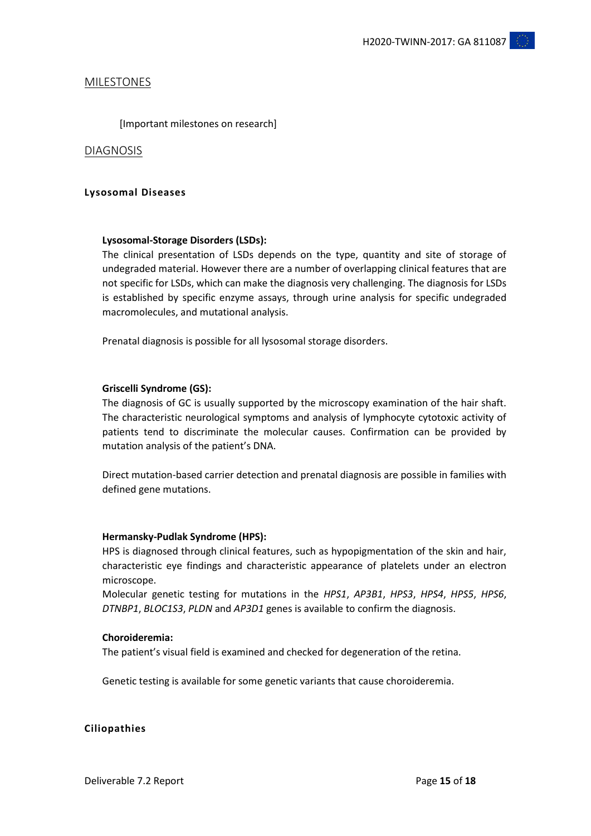## MILESTONES

[Important milestones on research]

#### DIAGNOSIS

### **Lysosomal Diseases**

#### **Lysosomal-Storage Disorders (LSDs):**

The clinical presentation of LSDs depends on the type, quantity and site of storage of undegraded material. However there are a number of overlapping clinical features that are not specific for LSDs, which can make the diagnosis very challenging. The diagnosis for LSDs is established by specific enzyme assays, through urine analysis for specific undegraded macromolecules, and mutational analysis.

Prenatal diagnosis is possible for all lysosomal storage disorders.

#### **Griscelli Syndrome (GS):**

The diagnosis of GC is usually supported by the microscopy examination of the hair shaft. The characteristic neurological symptoms and analysis of lymphocyte cytotoxic activity of patients tend to discriminate the molecular causes. Confirmation can be provided by mutation analysis of the patient's DNA.

Direct mutation-based carrier detection and prenatal diagnosis are possible in families with defined gene mutations.

## **Hermansky-Pudlak Syndrome (HPS):**

HPS is diagnosed through clinical features, such as hypopigmentation of the skin and hair, characteristic eye findings and characteristic appearance of platelets under an electron microscope.

Molecular genetic testing for mutations in the *HPS1*, *AP3B1*, *HPS3*, *HPS4*, *HPS5*, *HPS6*, *DTNBP1*, *BLOC1S3*, *PLDN* and *AP3D1* genes is available to confirm the diagnosis.

#### **Choroideremia:**

The patient's visual field is examined and checked for degeneration of the retina.

Genetic testing is available for some genetic variants that cause choroideremia.

#### **Ciliopathies**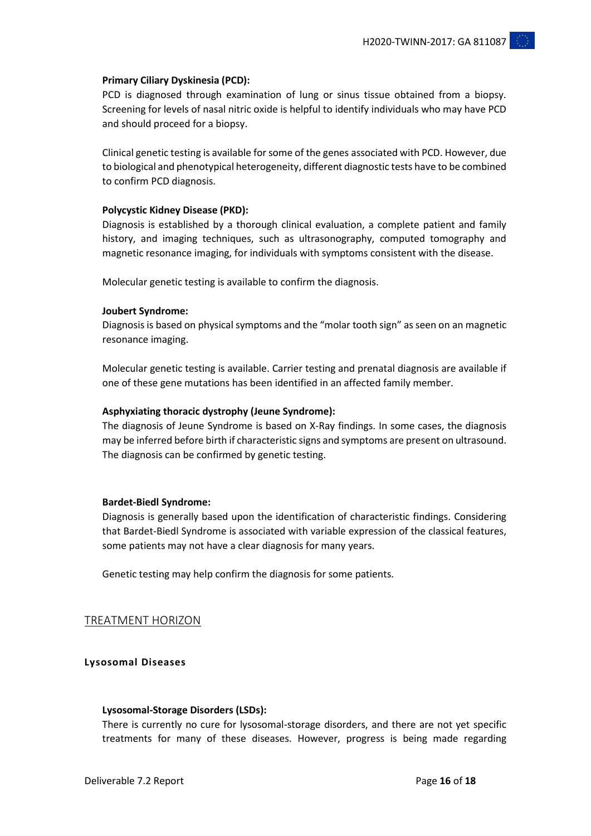#### **Primary Ciliary Dyskinesia (PCD):**

PCD is diagnosed through examination of lung or sinus tissue obtained from a biopsy. Screening for levels of nasal nitric oxide is helpful to identify individuals who may have PCD and should proceed for a biopsy.

Clinical genetic testing is available for some of the genes associated with PCD. However, due to biological and phenotypical heterogeneity, different diagnostic tests have to be combined to confirm PCD diagnosis.

#### **Polycystic Kidney Disease (PKD):**

Diagnosis is established by a thorough clinical evaluation, a complete patient and family history, and imaging techniques, such as ultrasonography, computed tomography and magnetic resonance imaging, for individuals with symptoms consistent with the disease.

Molecular genetic testing is available to confirm the diagnosis.

#### **Joubert Syndrome:**

Diagnosis is based on physical symptoms and the "molar tooth sign" as seen on an magnetic resonance imaging.

Molecular genetic testing is available. Carrier testing and prenatal diagnosis are available if one of these gene mutations has been identified in an affected family member.

#### **Asphyxiating thoracic dystrophy (Jeune Syndrome):**

The diagnosis of Jeune Syndrome is based on X-Ray findings. In some cases, the diagnosis may be inferred before birth if characteristic signs and symptoms are present on ultrasound. The diagnosis can be confirmed by genetic testing.

#### **Bardet-Biedl Syndrome:**

Diagnosis is generally based upon the identification of characteristic findings. Considering that Bardet-Biedl Syndrome is associated with variable expression of the classical features, some patients may not have a clear diagnosis for many years.

Genetic testing may help confirm the diagnosis for some patients.

#### TREATMENT HORIZON

**Lysosomal Diseases**

#### **Lysosomal-Storage Disorders (LSDs):**

There is currently no cure for lysosomal-storage disorders, and there are not yet specific treatments for many of these diseases. However, progress is being made regarding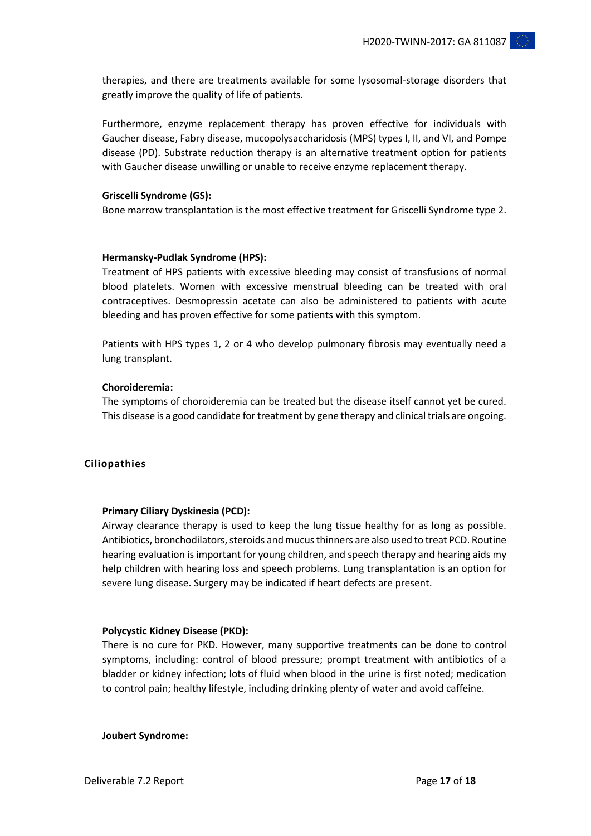therapies, and there are treatments available for some lysosomal-storage disorders that greatly improve the quality of life of patients.

Furthermore, enzyme replacement therapy has proven effective for individuals with Gaucher disease, Fabry disease, mucopolysaccharidosis (MPS) types I, II, and VI, and Pompe disease (PD). Substrate reduction therapy is an alternative treatment option for patients with Gaucher disease unwilling or unable to receive enzyme replacement therapy.

## **Griscelli Syndrome (GS):**

Bone marrow transplantation is the most effective treatment for Griscelli Syndrome type 2.

## **Hermansky-Pudlak Syndrome (HPS):**

Treatment of HPS patients with excessive bleeding may consist of transfusions of normal blood platelets. Women with excessive menstrual bleeding can be treated with oral contraceptives. Desmopressin acetate can also be administered to patients with acute bleeding and has proven effective for some patients with this symptom.

Patients with HPS types 1, 2 or 4 who develop pulmonary fibrosis may eventually need a lung transplant.

#### **Choroideremia:**

The symptoms of choroideremia can be treated but the disease itself cannot yet be cured. This disease is a good candidate for treatment by gene therapy and clinical trials are ongoing.

# **Ciliopathies**

#### **Primary Ciliary Dyskinesia (PCD):**

Airway clearance therapy is used to keep the lung tissue healthy for as long as possible. Antibiotics, bronchodilators, steroids and mucus thinners are also used to treat PCD. Routine hearing evaluation is important for young children, and speech therapy and hearing aids my help children with hearing loss and speech problems. Lung transplantation is an option for severe lung disease. Surgery may be indicated if heart defects are present.

#### **Polycystic Kidney Disease (PKD):**

There is no cure for PKD. However, many supportive treatments can be done to control symptoms, including: control of blood pressure; prompt treatment with antibiotics of a bladder or kidney infection; lots of fluid when blood in the urine is first noted; medication to control pain; healthy lifestyle, including drinking plenty of water and avoid caffeine.

**Joubert Syndrome:**